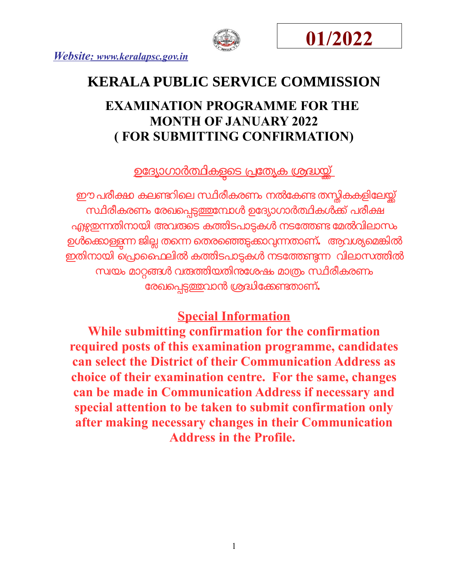





# **KERALA PUBLIC SERVICE COMMISSION**

## **EXAMINATION PROGRAMME FOR THE MONTH OF JANUARY 2022 ( FOR SUBMITTING CONFIRMATION)**

<u>ഉദ്യോഗാർത്ഥികളടെ പ്രത്യേക ശ്രദ്ധയ്ക്</u>

ഈ പരീക്ഷ കലണ്ടറിലെ സ്ഥിരീകരണം നൽകേണ്ട തന്റികകളിലേയ്ക്ക് സ്ഥിരീകരണം രേഖപ്പെടുത്തുമ്പോൾ ഉദ്യോഗാർത്ഥികൾക്ക് പരീക്ഷ എഴുതന്നതിനായി അവരുടെ കത്തിടപാട്ടകൾ നടത്തേണ്ട മേൽവിലാസം ഉൾക്കൊള്ളന്ന ജില്ല തന്നെ തെരഞ്ഞെടുക്കാവ്വന്നതാണ്**.** ആവശ്യമെങ്കിൽ ഇതിനോയി െപോൈഫലിൽ കതിടപോടകൾ നടോതണന വിലോസതിൽ സവയം മോറങൾ വരതിയതിനോശഷം മോതംസിരീകരണം ോരഖെപടതവോൻ ശദിോകണതോണ്**.** 

### **Special Information**

**While submitting confirmation for the confirmation required posts of this examination programme, candidates can select the District of their Communication Address as choice of their examination centre. For the same, changes can be made in Communication Address if necessary and special attention to be taken to submit confirmation only after making necessary changes in their Communication Address in the Profile.**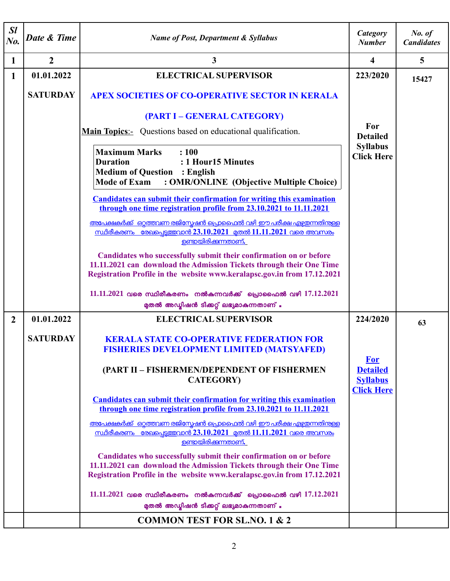| $\mathcal{S}l$<br>$N0$ . | Date & Time     | <b>Name of Post, Department &amp; Syllabus</b>                                                                                                                                                                         | Category<br><b>Number</b>                        | No. of<br><b>Candidates</b> |
|--------------------------|-----------------|------------------------------------------------------------------------------------------------------------------------------------------------------------------------------------------------------------------------|--------------------------------------------------|-----------------------------|
| $\mathbf{1}$             | $\overline{2}$  | 3                                                                                                                                                                                                                      | 4                                                | $\overline{5}$              |
| 1                        | 01.01.2022      | <b>ELECTRICAL SUPERVISOR</b>                                                                                                                                                                                           | 223/2020                                         | 15427                       |
|                          | <b>SATURDAY</b> | <b>APEX SOCIETIES OF CO-OPERATIVE SECTOR IN KERALA</b>                                                                                                                                                                 |                                                  |                             |
|                          |                 | (PART I – GENERAL CATEGORY)                                                                                                                                                                                            |                                                  |                             |
|                          |                 | <b>Main Topics:-</b> Questions based on educational qualification.                                                                                                                                                     | For<br><b>Detailed</b>                           |                             |
|                          |                 | <b>Maximum Marks</b><br>: 100<br><b>Duration</b><br>: 1 Hour15 Minutes<br><b>Medium of Question : English</b><br><b>Mode of Exam</b><br>: OMR/ONLINE (Objective Multiple Choice)                                       | <b>Syllabus</b><br><b>Click Here</b>             |                             |
|                          |                 | <b>Candidates can submit their confirmation for writing this examination</b><br>through one time registration profile from 23.10.2021 to 11.11.2021                                                                    |                                                  |                             |
|                          |                 | അപേക്ഷകർക്ക് ഒറ്റത്തവണ രജിസ്പേഷൻ പ്രൊഫൈൽ വഴി ഈ പരീക്ഷ എഴ്ജതന്നതിന്തള്ള<br><u>സ്ഥിരീകരണം രേഖപെട്ടത്തവാൻ 23.10.2021 മുതൽ 11.11.2021 വരെ അവസരം</u><br>ഉണ്ടായിരിക്കുന്നതാണ്.                                               |                                                  |                             |
|                          |                 | Candidates who successfully submit their confirmation on or before<br>11.11.2021 can download the Admission Tickets through their One Time<br>Registration Profile in the website www.keralapsc.gov.in from 17.12.2021 |                                                  |                             |
|                          |                 | 11.11.2021 വരെ സ്ഥിരീകരണം നൽകുന്നവർക്ക് പ്രൊഫൈൽ വഴി $17.12.2021$                                                                                                                                                       |                                                  |                             |
|                          |                 | മുതൽ അഡ്യിഷൻ ടിക്കറ്റ് ലഭ്യമാകുന്നതാണ് .                                                                                                                                                                               |                                                  |                             |
| $\boldsymbol{2}$         | 01.01.2022      | <b>ELECTRICAL SUPERVISOR</b>                                                                                                                                                                                           | 224/2020                                         | 63                          |
|                          | <b>SATURDAY</b> | <b>KERALA STATE CO-OPERATIVE FEDERATION FOR</b>                                                                                                                                                                        |                                                  |                             |
|                          |                 | <b>FISHERIES DEVELOPMENT LIMITED (MATSYAFED)</b>                                                                                                                                                                       |                                                  |                             |
|                          |                 | (PART II - FISHERMEN/DEPENDENT OF FISHERMEN<br><b>CATEGORY</b> )                                                                                                                                                       | <b>For</b><br><b>Detailed</b><br><b>Syllabus</b> |                             |
|                          |                 | <b>Candidates can submit their confirmation for writing this examination</b>                                                                                                                                           | <b>Click Here</b>                                |                             |
|                          |                 | through one time registration profile from 23.10.2021 to 11.11.2021                                                                                                                                                    |                                                  |                             |
|                          |                 | അപേക്ഷകർക്ക് ഒറ്റത്തവണ രജിസ്റ്റേഷൻ പ്രൊഫൈൽ വഴി ഈ പരീക്ഷ എഴ്ചയന്നതിന്തള്ള<br><u>സ്ഥിരീകരണം രേഖപെട്ടത്തവാൻ 23.10.2021 മുതൽ 11.11.2021 വരെ അവസരം</u>                                                                      |                                                  |                             |
|                          |                 | <u>ഉണ്ടായിരിക്കുന്നതാണ്.</u>                                                                                                                                                                                           |                                                  |                             |
|                          |                 | Candidates who successfully submit their confirmation on or before<br>11.11.2021 can download the Admission Tickets through their One Time<br>Registration Profile in the website www.keralapsc.gov.in from 17.12.2021 |                                                  |                             |
|                          |                 | 11.11.2021 വരെ സ്ഥിരീകരണം നൽകുന്നവർക്ക് പ്രൊഫൈൽ വഴി $17.12.2021$                                                                                                                                                       |                                                  |                             |
|                          |                 | മുതൽ അഡ്മിഷൻ ടിക്കറ്റ് ലഭ്യമാകുന്നതാണ് .                                                                                                                                                                               |                                                  |                             |
|                          |                 | <b>COMMON TEST FOR SL.NO. 1 &amp; 2</b>                                                                                                                                                                                |                                                  |                             |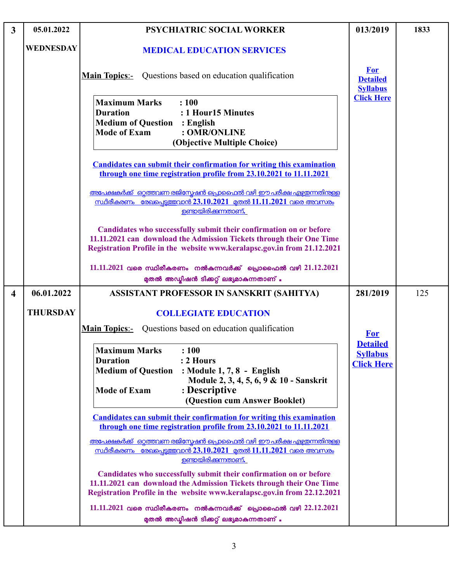| $\mathbf{3}$            | 05.01.2022       | <b>PSYCHIATRIC SOCIAL WORKER</b>                                                                                                                                                                                                             | 013/2019                                                | 1833 |
|-------------------------|------------------|----------------------------------------------------------------------------------------------------------------------------------------------------------------------------------------------------------------------------------------------|---------------------------------------------------------|------|
|                         | <b>WEDNESDAY</b> | <b>MEDICAL EDUCATION SERVICES</b>                                                                                                                                                                                                            |                                                         |      |
|                         |                  | <b>Main Topics:-</b> Questions based on education qualification                                                                                                                                                                              | <b>For</b><br><b>Detailed</b><br><b>Syllabus</b>        |      |
|                         |                  | <b>Maximum Marks</b><br>: 100<br><b>Duration</b><br>: 1 Hour15 Minutes<br><b>Medium of Question : English</b><br><b>Mode of Exam</b><br>: OMR/ONLINE<br>(Objective Multiple Choice)                                                          | <b>Click Here</b>                                       |      |
|                         |                  | <b>Candidates can submit their confirmation for writing this examination</b><br>through one time registration profile from 23.10.2021 to 11.11.2021                                                                                          |                                                         |      |
|                         |                  | <u>അപേക്ഷകർക്ക് ഒറ്റത്തവണ രജിസ്പേഷൻ പ്രൊഫൈൽ വഴി ഈ പരീക്ഷ എഴ്ചതന്നതിന്</u> കള്ള<br><u>സ്ഥിരീകരണം രേഖപ്പെട്ടത്തവാൻ 23.10.2021 മുതൽ 11.11.2021 വരെ അവസരം</u><br><u>ഉണ്ടായിരിക്കുന്നതാണ്.</u>                                                    |                                                         |      |
|                         |                  | Candidates who successfully submit their confirmation on or before<br>11.11.2021 can download the Admission Tickets through their One Time<br>Registration Profile in the website www.keralapsc.gov.in from 21.12.2021                       |                                                         |      |
|                         |                  | 11.11.2021 വരെ സ്ഥിരീകരണം നൽകുന്നവർക്ക് പ്രൊഫൈൽ വഴി 21.12.2021<br>മുതൽ അഡ്മിഷൻ ടിക്കറ്റ് ലഭ്യമാകുന്നതാണ് .                                                                                                                                   |                                                         |      |
| $\overline{\mathbf{4}}$ | 06.01.2022       | ASSISTANT PROFESSOR IN SANSKRIT (SAHITYA)                                                                                                                                                                                                    | 281/2019                                                | 125  |
|                         | <b>THURSDAY</b>  | <b>COLLEGIATE EDUCATION</b>                                                                                                                                                                                                                  |                                                         |      |
|                         |                  | <b>Main Topics:</b> Questions based on education qualification                                                                                                                                                                               | <b>For</b>                                              |      |
|                         |                  | <b>Maximum Marks</b><br>: 100<br><b>Duration</b><br>: 2 Hours<br><b>Medium of Question</b><br>: Module 1, 7, 8 - English<br>Module 2, 3, 4, 5, 6, 9 & 10 - Sanskrit<br>: Descriptive<br><b>Mode of Exam</b><br>(Question cum Answer Booklet) | <b>Detailed</b><br><b>Syllabus</b><br><b>Click Here</b> |      |
|                         |                  | <b>Candidates can submit their confirmation for writing this examination</b><br>through one time registration profile from 23.10.2021 to 11.11.2021                                                                                          |                                                         |      |
|                         |                  | അപേക്ഷകർക്ക് ഒറ്റത്തവണ രജിസ്രേഷൻ പ്രൊഫൈൽ വഴി ഈ പരീക്ഷ എഴ്ചതന്നതിന്തള്ള<br><u>സ്ഥിരീകരണം രേഖപെട്ടത്തവാൻ 23.10.2021 മുതൽ 11.11.2021 വരെ അവസരം</u><br><u>ഉണ്ടായിരിക്കുന്നതാണ്.</u>                                                              |                                                         |      |
|                         |                  | Candidates who successfully submit their confirmation on or before<br>11.11.2021 can download the Admission Tickets through their One Time<br>Registration Profile in the website www.keralapsc.gov.in from 22.12.2021                       |                                                         |      |
|                         |                  | 11.11.2021 വരെ സ്ഥിരീകരണം നൽകുന്നവർക്ക് പ്രൊഫൈൽ വഴി $22.12.2021$<br>മുതൽ അഡ്മിഷൻ ടിക്കറ്റ് ലഭ്യമാകുന്നതാണ് .                                                                                                                                 |                                                         |      |

L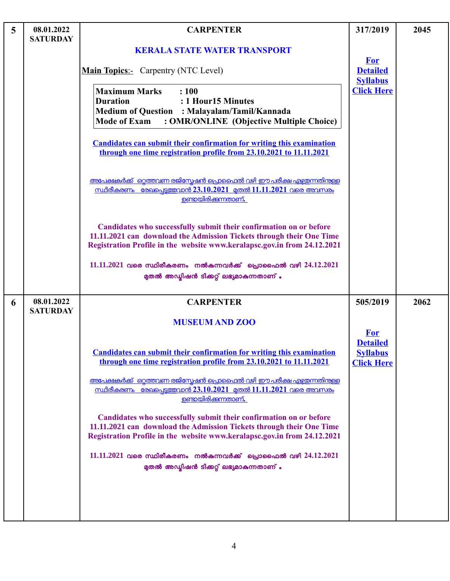| 5 | 08.01.2022<br><b>SATURDAY</b> | <b>CARPENTER</b>                                                                                                                                                                                                                                                                                                                                 | 317/2019                                         | 2045 |
|---|-------------------------------|--------------------------------------------------------------------------------------------------------------------------------------------------------------------------------------------------------------------------------------------------------------------------------------------------------------------------------------------------|--------------------------------------------------|------|
|   |                               | <b>KERALA STATE WATER TRANSPORT</b>                                                                                                                                                                                                                                                                                                              |                                                  |      |
|   |                               | <b>Main Topics:-</b> Carpentry (NTC Level)                                                                                                                                                                                                                                                                                                       | <b>For</b><br><b>Detailed</b><br><b>Syllabus</b> |      |
|   |                               | <b>Maximum Marks</b><br>: 100<br>: 1 Hour15 Minutes<br><b>Duration</b><br>Medium of Question : Malayalam/Tamil/Kannada<br><b>Mode of Exam</b><br>: OMR/ONLINE (Objective Multiple Choice)<br><b>Candidates can submit their confirmation for writing this examination</b><br>through one time registration profile from 23.10.2021 to 11.11.2021 | <b>Click Here</b>                                |      |
|   |                               | അപേക്ഷകർക്ക് ഒറ്റത്തവണ രജിസ്കേഷൻ പ്രൊഫൈൽ വഴി ഈ പരീക്ഷ എഴ്ചഇന്നതിനുള്ള<br><u>സ്ഥിരീകരണം രേഖപ്പെടുത്തവാൻ 23.10.2021 മുതൽ 11.11.2021 വരെ അവസരം</u><br><u>ഉണ്ടായിരിക്കന്നതാണ്.</u>                                                                                                                                                                   |                                                  |      |
|   |                               | Candidates who successfully submit their confirmation on or before<br>11.11.2021 can download the Admission Tickets through their One Time<br>Registration Profile in the website www.keralapsc.gov.in from 24.12.2021                                                                                                                           |                                                  |      |
|   |                               | $11.11.2021$ വരെ സ്ഥിരീകരണം നൽകുന്നവർക്ക് പ്രൊഫൈൽ വഴി $24.12.2021$<br>മുതൽ അഡ്മിഷൻ ടിക്കറ്റ് ലഭ്യമാകുന്നതാണ് .                                                                                                                                                                                                                                   |                                                  |      |
| 6 | 08.01.2022<br><b>SATURDAY</b> | <b>CARPENTER</b>                                                                                                                                                                                                                                                                                                                                 | 505/2019                                         | 2062 |
|   |                               | <b>MUSEUM AND ZOO</b>                                                                                                                                                                                                                                                                                                                            | <b>For</b><br><b>Detailed</b>                    |      |
|   |                               | <b>Candidates can submit their confirmation for writing this examination</b><br>through one time registration profile from 23.10.2021 to 11.11.2021                                                                                                                                                                                              | <b>Syllabus</b><br><b>Click Here</b>             |      |
|   |                               | അപേക്ഷകർക്ക് ഒറ്റത്തവണ രജിസ്പേഷൻ പ്രൊഫൈൽ വഴി ഈ പരീക്ഷ എഴ്ചഇന്നതിനുള്ള<br><u>സ്ഥിരീകരണം രേഖപെട്ടത്തവാൻ 23.10.2021 മുതൽ 11.11.2021 വരെ അവസരം</u><br><u>ഉണ്ടായിരിക്കന്നതാണ്.</u>                                                                                                                                                                    |                                                  |      |
|   |                               | Candidates who successfully submit their confirmation on or before<br>11.11.2021 can download the Admission Tickets through their One Time<br>Registration Profile in the website www.keralapsc.gov.in from 24.12.2021                                                                                                                           |                                                  |      |
|   |                               | 11.11.2021 വരെ സ്ഥിരീകരണം നൽകുന്നവർക്ക് പ്രൊഫൈൽ വഴി 24.12.2021<br>മുതൽ അഡ്മിഷൻ ടിക്കറ്റ് ലഭ്യമാകുന്നതാണ് .                                                                                                                                                                                                                                       |                                                  |      |
|   |                               |                                                                                                                                                                                                                                                                                                                                                  |                                                  |      |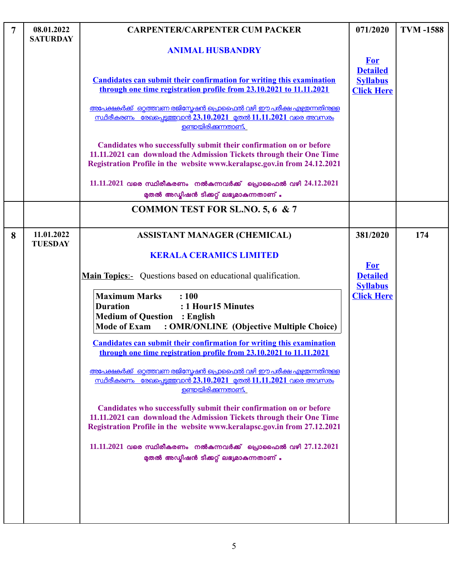| $\overline{7}$ | 08.01.2022<br><b>SATURDAY</b> | <b>CARPENTER/CARPENTER CUM PACKER</b>                                                                                                                                                                                                   | 071/2020                                                              | <b>TVM-1588</b> |
|----------------|-------------------------------|-----------------------------------------------------------------------------------------------------------------------------------------------------------------------------------------------------------------------------------------|-----------------------------------------------------------------------|-----------------|
|                |                               | <b>ANIMAL HUSBANDRY</b>                                                                                                                                                                                                                 |                                                                       |                 |
|                |                               | <b>Candidates can submit their confirmation for writing this examination</b><br>through one time registration profile from 23.10.2021 to 11.11.2021<br><u>അപേക്ഷകർക്ക്  ഒറ്റത്തവണ രജിസ്റ്റേഷൻ പ്രൊഫൈൽ വഴി ഈ പരീക്ഷ എഴ്ചതന്നതിന്തള്ള</u> | <b>For</b><br><b>Detailed</b><br><b>Syllabus</b><br><b>Click Here</b> |                 |
|                |                               | <u>സ്ഥിരീകരണം രേഖപ്പെടുത്തവാൻ 23.10.2021 മുതൽ 11.11.2021 വരെ അവസരം</u><br><u>ണ്ടൊയിരിക്കുന്നതാണ്.</u>                                                                                                                                   |                                                                       |                 |
|                |                               | Candidates who successfully submit their confirmation on or before<br>11.11.2021 can download the Admission Tickets through their One Time<br>Registration Profile in the website www.keralapsc.gov.in from 24.12.2021                  |                                                                       |                 |
|                |                               | 11.11.2021 വരെ സ്ഥിരീകരണം നൽകുന്നവർക്ക് പ്രൊഫൈൽ വഴി 24.12.2021<br>മുതൽ അഡ്മിഷൻ ടിക്കറ്റ് ലഭ്യമാകുന്നതാണ് .                                                                                                                              |                                                                       |                 |
|                |                               | <b>COMMON TEST FOR SL.NO. 5, 6 &amp; 7</b>                                                                                                                                                                                              |                                                                       |                 |
| 8              | 11.01.2022<br><b>TUESDAY</b>  | <b>ASSISTANT MANAGER (CHEMICAL)</b>                                                                                                                                                                                                     | 381/2020                                                              | 174             |
|                |                               | <b>KERALA CERAMICS LIMITED</b>                                                                                                                                                                                                          | <b>For</b>                                                            |                 |
|                |                               | <b>Main Topics:-</b> Questions based on educational qualification.                                                                                                                                                                      | <b>Detailed</b>                                                       |                 |
|                |                               | <b>Maximum Marks</b><br>: 100<br><b>Duration</b><br>: 1 Hour15 Minutes<br><b>Medium of Question : English</b><br>: OMR/ONLINE (Objective Multiple Choice)<br><b>Mode of Exam</b>                                                        | <b>Syllabus</b><br><b>Click Here</b>                                  |                 |
|                |                               | <b>Candidates can submit their confirmation for writing this examination</b><br>through one time registration profile from 23.10.2021 to 11.11.2021                                                                                     |                                                                       |                 |
|                |                               | <u>അപേക്ഷകർക്ക്  ഓത്തവണ രജിസ്റ്റേഷൻ പ്രൊഫൈൽ വഴി ഈ പരീക്ഷ എഴ്ചതന്നതിന്തള</u><br><u>സ്ഥിരീകരണം രേഖപെട്ടത്തവാൻ 23.10.2021 മുതൽ 11.11.2021 വരെ അവസരം</u><br><u>ഉണ്ടായിരിക്കുന്നതാണ്.</u>                                                    |                                                                       |                 |
|                |                               | Candidates who successfully submit their confirmation on or before<br>11.11.2021 can download the Admission Tickets through their One Time<br>Registration Profile in the website www.keralapsc.gov.in from 27.12.2021                  |                                                                       |                 |
|                |                               | $11.11.2021$ വരെ സ്ഥിരീകരണം നൽകുന്നവർക്ക് പ്രൊഫൈൽ വഴി 27.12.2021<br>മുതൽ അഡ്മിഷൻ ടിക്കറ്റ് ലഭ്യമാകുന്നതാണ് .                                                                                                                            |                                                                       |                 |
|                |                               |                                                                                                                                                                                                                                         |                                                                       |                 |
|                |                               |                                                                                                                                                                                                                                         |                                                                       |                 |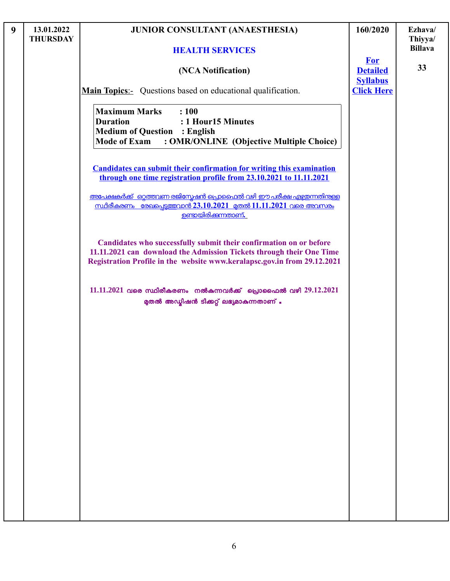| 9 | 13.01.2022<br><b>THURSDAY</b> | <b>JUNIOR CONSULTANT (ANAESTHESIA)</b>                                                                                                                                                                                 | 160/2020                                         | Ezhava/<br>Thiyya/ |
|---|-------------------------------|------------------------------------------------------------------------------------------------------------------------------------------------------------------------------------------------------------------------|--------------------------------------------------|--------------------|
|   |                               | <b>HEALTH SERVICES</b>                                                                                                                                                                                                 |                                                  | <b>Billava</b>     |
|   |                               | (NCA Notification)                                                                                                                                                                                                     | <b>For</b><br><b>Detailed</b><br><b>Syllabus</b> | 33                 |
|   |                               | <b>Main Topics:</b> Questions based on educational qualification.                                                                                                                                                      | <b>Click Here</b>                                |                    |
|   |                               | <b>Maximum Marks</b><br>: 100<br><b>Duration</b><br>: 1 Hour15 Minutes<br><b>Medium of Question : English</b><br><b>Mode of Exam</b><br>: OMR/ONLINE (Objective Multiple Choice)                                       |                                                  |                    |
|   |                               | <b>Candidates can submit their confirmation for writing this examination</b><br>through one time registration profile from 23.10.2021 to 11.11.2021                                                                    |                                                  |                    |
|   |                               | അപേക്ഷകർക്ക് ഒറ്റത്തവണ രജിസ്നേഷൻ പ്രൊഫൈൽ വഴി ഈ പരീക്ഷ എഴ്ചയന്നതിന്റള്ള<br><u>സ്ഥിരീകരണം രേഖപ്പെടുത്തവാൻ 23.10.2021 മുതൽ 11.11.2021 വരെ അവസരം</u><br><u>ഉണ്ടായിരിക്കന്നതാണ്.</u>                                        |                                                  |                    |
|   |                               | Candidates who successfully submit their confirmation on or before<br>11.11.2021 can download the Admission Tickets through their One Time<br>Registration Profile in the website www.keralapsc.gov.in from 29.12.2021 |                                                  |                    |
|   |                               | 11.11.2021 വരെ സ്ഥിരീകരണം നൽകുന്നവർക്ക് പ്രൊഫൈൽ വഴി 29.12.2021<br>മുതൽ അഡ്യിഷൻ ടിക്കറ്റ് ലഭ്യമാകുന്നതാണ് .                                                                                                             |                                                  |                    |
|   |                               |                                                                                                                                                                                                                        |                                                  |                    |
|   |                               |                                                                                                                                                                                                                        |                                                  |                    |
|   |                               |                                                                                                                                                                                                                        |                                                  |                    |
|   |                               |                                                                                                                                                                                                                        |                                                  |                    |
|   |                               |                                                                                                                                                                                                                        |                                                  |                    |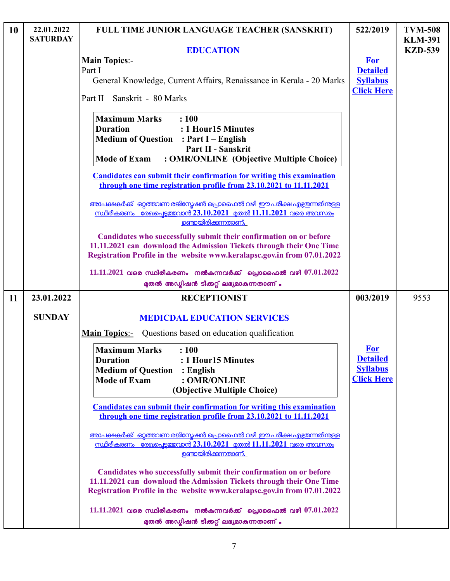| 10 | 22.01.2022<br><b>SATURDAY</b> | FULL TIME JUNIOR LANGUAGE TEACHER (SANSKRIT)                                                                                                                                                                           | 522/2019                                                       | <b>TVM-508</b>                   |
|----|-------------------------------|------------------------------------------------------------------------------------------------------------------------------------------------------------------------------------------------------------------------|----------------------------------------------------------------|----------------------------------|
|    |                               | <b>EDUCATION</b>                                                                                                                                                                                                       |                                                                | <b>KLM-391</b><br><b>KZD-539</b> |
|    |                               | <b>Main Topics:-</b>                                                                                                                                                                                                   | <b>For</b>                                                     |                                  |
|    |                               | Part $I -$                                                                                                                                                                                                             | <b>Detailed</b>                                                |                                  |
|    |                               | General Knowledge, Current Affairs, Renaissance in Kerala - 20 Marks                                                                                                                                                   | <b>Syllabus</b>                                                |                                  |
|    |                               | Part II - Sanskrit - 80 Marks                                                                                                                                                                                          | <b>Click Here</b>                                              |                                  |
|    |                               | <b>Maximum Marks</b><br>: 100<br><b>Duration</b><br>: 1 Hour15 Minutes<br><b>Medium of Question : Part I - English</b><br>Part II - Sanskrit<br>: OMR/ONLINE (Objective Multiple Choice)<br><b>Mode of Exam</b>        |                                                                |                                  |
|    |                               | <b>Candidates can submit their confirmation for writing this examination</b><br>through one time registration profile from 23.10.2021 to 11.11.2021                                                                    |                                                                |                                  |
|    |                               | അപേക്ഷകർക്ക് ഒറ്റത്തവണ രജിസ്നേഷൻ പ്രൊഫൈൽ വഴി ഈ പരീക്ഷ എഴ്ചയന്നതിനുള്ള<br><u>സ്ഥിരീകരണം രേഖപെട്ടത്തവാൻ 23.10.2021 മുതൽ 11.11.2021 വരെ അവസരം</u><br><u>ഉണ്ടായിരിക്കുന്നതാണ്.</u>                                         |                                                                |                                  |
|    |                               | Candidates who successfully submit their confirmation on or before<br>11.11.2021 can download the Admission Tickets through their One Time<br>Registration Profile in the website www.keralapsc.gov.in from 07.01.2022 |                                                                |                                  |
|    |                               | $11.11.2021$ വരെ സ്ഥിരീകരണം നൽകുന്നവർക്ക് പ്രൊഫൈൽ വഴി $07.01.2022$<br>മുതൽ അഡ്മിഷൻ ടിക്കറ്റ് ലഭ്യമാകുന്നതാണ് .                                                                                                         |                                                                |                                  |
| 11 | 23.01.2022                    | <b>RECEPTIONIST</b>                                                                                                                                                                                                    | 003/2019                                                       | 9553                             |
|    | <b>SUNDAY</b>                 | <b>MEDICDAL EDUCATION SERVICES</b>                                                                                                                                                                                     |                                                                |                                  |
|    |                               | <b>Main Topics:-</b> Questions based on education qualification                                                                                                                                                        |                                                                |                                  |
|    |                               | <b>Maximum Marks</b><br>: 100<br>: 1 Hour15 Minutes<br><b>Duration</b><br><b>Medium of Question</b><br>$:$ English<br><b>Mode of Exam</b><br>: OMR/ONLINE<br>(Objective Multiple Choice)                               | For<br><b>Detailed</b><br><b>Syllabus</b><br><b>Click Here</b> |                                  |
|    |                               | <b>Candidates can submit their confirmation for writing this examination</b><br>through one time registration profile from 23.10.2021 to 11.11.2021                                                                    |                                                                |                                  |
|    |                               | അപേക്ഷകർക്ക് ഒറ്റത്തവണ രജിസ്കേഷൻ പ്രൊഫൈൽ വഴി ഈ പരീക്ഷ എഴ്ചയന്നതിന്തള്ള<br>സ്ഥിരീകരണം രേഖപെടുത്തവാൻ 23.10.2021 മുതൽ 11.11.2021 വരെ അവസരം<br><u>ഉണ്ടായിരിക്കുന്നതാണ്.</u>                                                |                                                                |                                  |
|    |                               | Candidates who successfully submit their confirmation on or before<br>11.11.2021 can download the Admission Tickets through their One Time<br>Registration Profile in the website www.keralapsc.gov.in from 07.01.2022 |                                                                |                                  |
|    |                               | $11.11.2021$ വരെ സ്ഥിരീകരണം നൽകുന്നവർക്ക് പ്രൊഫൈൽ വഴി $07.01.2022$<br>മുതൽ അഡ്യിഷൻ ടിക്കറ്റ് ലഭ്യമാകുന്നതാണ് .                                                                                                         |                                                                |                                  |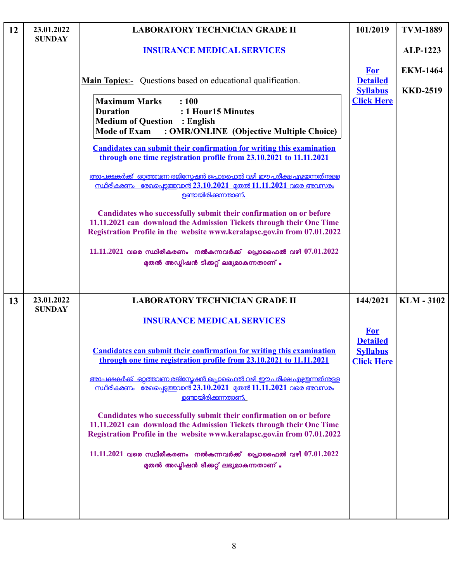| 12 | 23.01.2022<br><b>SUNDAY</b> | <b>LABORATORY TECHNICIAN GRADE II</b>                                                                                                                                                                                                                                                                                                                                                                                                                                                                                                                                                                                                                                                                                                                                                                                                                          | 101/2019                                                | <b>TVM-1889</b>                    |
|----|-----------------------------|----------------------------------------------------------------------------------------------------------------------------------------------------------------------------------------------------------------------------------------------------------------------------------------------------------------------------------------------------------------------------------------------------------------------------------------------------------------------------------------------------------------------------------------------------------------------------------------------------------------------------------------------------------------------------------------------------------------------------------------------------------------------------------------------------------------------------------------------------------------|---------------------------------------------------------|------------------------------------|
|    |                             | <b>INSURANCE MEDICAL SERVICES</b>                                                                                                                                                                                                                                                                                                                                                                                                                                                                                                                                                                                                                                                                                                                                                                                                                              |                                                         | <b>ALP-1223</b>                    |
|    |                             | <b>Main Topics:-</b> Questions based on educational qualification.                                                                                                                                                                                                                                                                                                                                                                                                                                                                                                                                                                                                                                                                                                                                                                                             | <b>For</b><br><b>Detailed</b><br><b>Syllabus</b>        | <b>EKM-1464</b><br><b>KKD-2519</b> |
|    |                             | <b>Maximum Marks</b><br>: 100<br><b>Duration</b><br>: 1 Hour15 Minutes<br><b>Medium of Question : English</b><br>: OMR/ONLINE (Objective Multiple Choice)<br><b>Mode of Exam</b><br><b>Candidates can submit their confirmation for writing this examination</b><br>through one time registration profile from 23.10.2021 to 11.11.2021<br><u>അപേക്ഷകർക്ക് ഒറ്റത്തവണ രജിസ്പേഷൻ പ്രൊഫൈൽ വഴി ഈ പരീക്ഷ എഴ്ചയന്നതിനുള്ള</u><br>സ്ഥിരീകരണം രേഖപെട്ടത്തവാൻ 23.10.2021 മുതൽ 11.11.2021 വരെ അവസരം<br>ഉണ്ടായിരിക്കുന്നതാണ്.<br>Candidates who successfully submit their confirmation on or before<br>11.11.2021 can download the Admission Tickets through their One Time<br>Registration Profile in the website www.keralapsc.gov.in from 07.01.2022<br>$11.11.2021$ വരെ സ്ഥിരീകരണം നൽകുന്നവർക്ക് പ്രൊഫൈൽ വഴി $07.01.2022$<br>മുതൽ അഡ്മിഷൻ ടിക്കറ്റ് ലഭ്യമാകുന്നതാണ് . | <b>Click Here</b>                                       |                                    |
| 13 | 23.01.2022<br><b>SUNDAY</b> | <b>LABORATORY TECHNICIAN GRADE II</b><br><b>INSURANCE MEDICAL SERVICES</b>                                                                                                                                                                                                                                                                                                                                                                                                                                                                                                                                                                                                                                                                                                                                                                                     | 144/2021<br><b>For</b>                                  | <b>KLM-3102</b>                    |
|    |                             | <b>Candidates can submit their confirmation for writing this examination</b><br>through one time registration profile from 23.10.2021 to 11.11.2021<br><u>അപേക്ഷകർക്ക് ഒറ്റത്തവണ രജിസ്പേഷൻ പ്രൊഫൈൽ വഴി ഈ പരീക്ഷ എഴ്ചതന്നതിനുള്ള</u><br><u>സ്ഥിരീകരണം രേഖപെട്ടത്തവാൻ 23.10.2021 മുതൽ 11.11.2021 വരെ അവസരം</u><br>ഉണ്ടായിരിക്കുന്നതാണ്.<br>Candidates who successfully submit their confirmation on or before<br>11.11.2021 can download the Admission Tickets through their One Time<br>Registration Profile in the website www.keralapsc.gov.in from 07.01.2022<br>$11.11.2021$ വരെ സ്ഥിരീകരണം നൽകുന്നവർക്ക് പ്രൊഫൈൽ വഴി $07.01.2022$<br>മുതൽ അഡ്യിഷൻ ടിക്കറ്റ് ലഭ്യമാകുന്നതാണ് .                                                                                                                                                                              | <b>Detailed</b><br><b>Syllabus</b><br><b>Click Here</b> |                                    |

L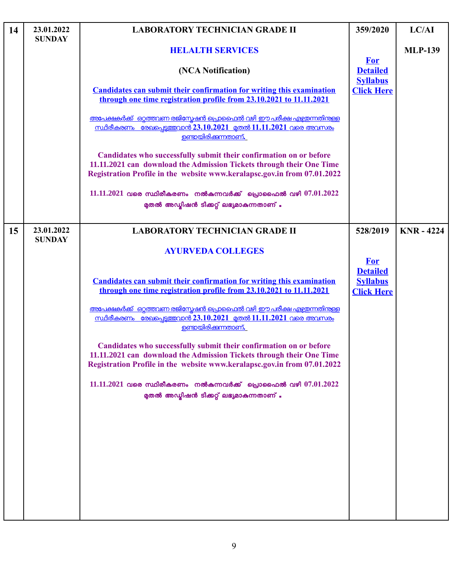| 14 | 23.01.2022<br><b>SUNDAY</b> | <b>LABORATORY TECHNICIAN GRADE II</b>                                                                                                                                                                                                                                                                                                                                                                                                                                                                                                                                                                                                                                                                               | 359/2020                                                              | LC/AI             |
|----|-----------------------------|---------------------------------------------------------------------------------------------------------------------------------------------------------------------------------------------------------------------------------------------------------------------------------------------------------------------------------------------------------------------------------------------------------------------------------------------------------------------------------------------------------------------------------------------------------------------------------------------------------------------------------------------------------------------------------------------------------------------|-----------------------------------------------------------------------|-------------------|
|    |                             | <b>HELALTH SERVICES</b>                                                                                                                                                                                                                                                                                                                                                                                                                                                                                                                                                                                                                                                                                             |                                                                       | <b>MLP-139</b>    |
|    |                             | (NCA Notification)                                                                                                                                                                                                                                                                                                                                                                                                                                                                                                                                                                                                                                                                                                  | <b>For</b><br><b>Detailed</b><br><b>Syllabus</b>                      |                   |
|    |                             | <b>Candidates can submit their confirmation for writing this examination</b><br>through one time registration profile from 23.10.2021 to 11.11.2021                                                                                                                                                                                                                                                                                                                                                                                                                                                                                                                                                                 | <b>Click Here</b>                                                     |                   |
|    |                             | <u>അപേക്ഷകർക്ക്  ഒറ്റത്തവണ രജിസ്റ്റേഷൻ പ്രൊഫൈൽ വഴി ഈ പരീക്ഷ എഴ്ചതന്നതിന്കള്</u><br><u>സ്ഥിരീകരണം രേഖപ്പെട്ടത്തവാൻ 23.10.2021 മുതൽ 11.11.2021 വരെ അവസരം</u><br>ഉണ്ടായിരിക്കുന്നതാണ്.                                                                                                                                                                                                                                                                                                                                                                                                                                                                                                                                 |                                                                       |                   |
|    |                             | Candidates who successfully submit their confirmation on or before<br>11.11.2021 can download the Admission Tickets through their One Time<br>Registration Profile in the website www.keralapsc.gov.in from 07.01.2022                                                                                                                                                                                                                                                                                                                                                                                                                                                                                              |                                                                       |                   |
|    |                             | $11.11.2021$ വരെ സ്ഥിരീകരണം നൽകുന്നവർക്ക് പ്രൊഫൈൽ വഴി $07.01.2022$<br>മുതൽ അഡ്മിഷൻ ടിക്കറ്റ് ലഭ്യമാകുന്നതാണ് .                                                                                                                                                                                                                                                                                                                                                                                                                                                                                                                                                                                                      |                                                                       |                   |
| 15 | 23.01.2022<br><b>SUNDAY</b> | <b>LABORATORY TECHNICIAN GRADE II</b>                                                                                                                                                                                                                                                                                                                                                                                                                                                                                                                                                                                                                                                                               | 528/2019                                                              | <b>KNR - 4224</b> |
|    |                             | <b>AYURVEDA COLLEGES</b><br><b>Candidates can submit their confirmation for writing this examination</b><br>through one time registration profile from 23.10.2021 to 11.11.2021<br><u>അപേക്ഷകർക്ക് ഒറ്റത്തവണ രജിസ്പേഷൻ പ്രൊഫൈൽ വഴി ഈ പരീക്ഷ എഴ്ചതന്നതിനുള്ള </u><br><u>സ്ഥിരീകരണം രേഖപെട്ടത്തവാൻ 23.10.2021 മതൽ 11.11.2021 വരെ അവസരം</u><br><u>ഉണ്ടായിരിക്കുന്നതാണ്.</u><br>Candidates who successfully submit their confirmation on or before<br>11.11.2021 can download the Admission Tickets through their One Time<br>Registration Profile in the website www.keralapsc.gov.in from 07.01.2022<br>$11.11.2021$ വരെ സ്ഥിരീകരണം നൽകന്നവർക്ക് പ്രൊഫൈൽ വഴി $07.01.2022$<br>മുതൽ അഡ്യിഷൻ ടിക്കറ്റ് ലഭ്യമാകുന്നതാണ് . | <b>For</b><br><b>Detailed</b><br><b>Syllabus</b><br><b>Click Here</b> |                   |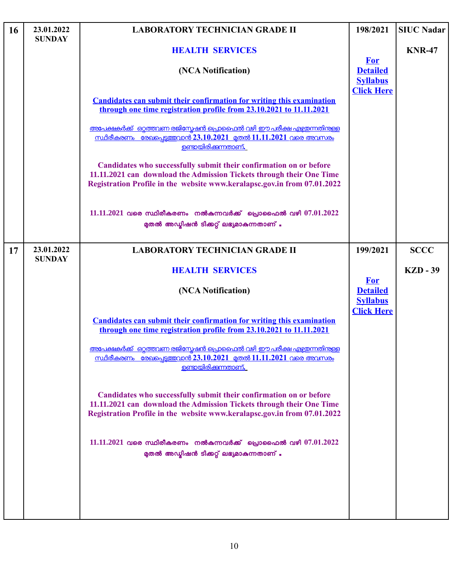| 16 | 23.01.2022<br><b>SUNDAY</b> | <b>LABORATORY TECHNICIAN GRADE II</b>                                                                                                                                                                                  | 198/2021                                                              | <b>SIUC Nadar</b> |
|----|-----------------------------|------------------------------------------------------------------------------------------------------------------------------------------------------------------------------------------------------------------------|-----------------------------------------------------------------------|-------------------|
|    |                             | <b>HEALTH SERVICES</b>                                                                                                                                                                                                 |                                                                       | <b>KNR-47</b>     |
|    |                             | (NCA Notification)                                                                                                                                                                                                     | <b>For</b><br><b>Detailed</b><br><b>Syllabus</b><br><b>Click Here</b> |                   |
|    |                             | <b>Candidates can submit their confirmation for writing this examination</b><br>through one time registration profile from 23.10.2021 to 11.11.2021                                                                    |                                                                       |                   |
|    |                             | <u>അപേക്ഷകർക്ക് ഒറ്റത്തവണ രജിസ്പേഷൻ പ്രൊഫൈൽ വഴി ഈ പരീക്ഷ എഴ്ചതന്നതിനുള്ള</u><br><u>സ്ഥിരീകരണം രേഖപെട്ടത്തവാൻ 23.10.2021 മതൽ 11.11.2021 വരെ അവസരം</u><br><u>ഉണ്ടായിരിക്കന്നതാണ്.</u>                                    |                                                                       |                   |
|    |                             | Candidates who successfully submit their confirmation on or before<br>11.11.2021 can download the Admission Tickets through their One Time<br>Registration Profile in the website www.keralapsc.gov.in from 07.01.2022 |                                                                       |                   |
|    |                             | $11.11.2021$ വരെ സ്ഥിരീകരണം നൽകുന്നവർക്ക് പ്രൊഫൈൽ വഴി $07.01.2022$<br>മുതൽ അഡ്യിഷൻ ടിക്കറ്റ് ലഭ്യമാകുന്നതാണ് .                                                                                                         |                                                                       |                   |
| 17 | 23.01.2022<br><b>SUNDAY</b> | <b>LABORATORY TECHNICIAN GRADE II</b>                                                                                                                                                                                  | 199/2021                                                              | <b>SCCC</b>       |
|    |                             | <b>HEALTH SERVICES</b>                                                                                                                                                                                                 | <b>For</b>                                                            | <b>KZD - 39</b>   |
|    |                             | (NCA Notification)                                                                                                                                                                                                     | <b>Detailed</b><br><b>Syllabus</b>                                    |                   |
|    |                             | <b>Candidates can submit their confirmation for writing this examination</b><br>through one time registration profile from 23.10.2021 to 11.11.2021                                                                    | <b>Click Here</b>                                                     |                   |
|    |                             | അപേക്ഷകർക്ക് ഒറ്റത്തവണ രജിസ്കേഷൻ പ്രൊഫൈൽ വഴി ഈ പരീക്ഷ എഴ്ചഇന്നതിനുള്ള<br><u>സ്ഥിരീകരണം രേഖപ്പെട്ടത്തവാൻ 23.10.2021 മുതൽ 11.11.2021 വരെ അവസരം</u><br><u>ഉണ്ടായിരിക്കുന്നതാണ്.</u>                                       |                                                                       |                   |
|    |                             | Candidates who successfully submit their confirmation on or before<br>11.11.2021 can download the Admission Tickets through their One Time<br>Registration Profile in the website www.keralapsc.gov.in from 07.01.2022 |                                                                       |                   |
|    |                             | $11.11.2021$ വരെ സ്ഥിരീകരണം നൽകുന്നവർക്ക് പ്രൊഫൈൽ വഴി $07.01.2022$<br>മുതൽ അഡ്മിഷൻ ടിക്കറ്റ് ലഭ്യമാകുന്നതാണ് .                                                                                                         |                                                                       |                   |
|    |                             |                                                                                                                                                                                                                        |                                                                       |                   |
|    |                             |                                                                                                                                                                                                                        |                                                                       |                   |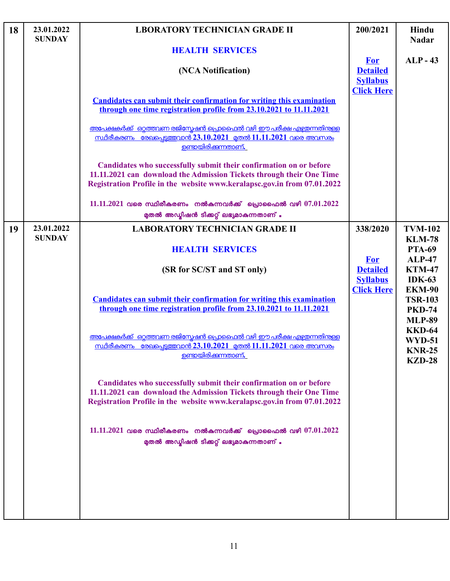| 18 | 23.01.2022<br><b>SUNDAY</b> | <b>LBORATORY TECHNICIAN GRADE II</b>                                                                                                                                                                                   | 200/2021                                                              | Hindu<br><b>Nadar</b>                                             |
|----|-----------------------------|------------------------------------------------------------------------------------------------------------------------------------------------------------------------------------------------------------------------|-----------------------------------------------------------------------|-------------------------------------------------------------------|
|    |                             | <b>HEALTH SERVICES</b>                                                                                                                                                                                                 |                                                                       |                                                                   |
|    |                             | (NCA Notification)                                                                                                                                                                                                     | <b>For</b><br><b>Detailed</b><br><b>Syllabus</b><br><b>Click Here</b> | $ALP-43$                                                          |
|    |                             | <b>Candidates can submit their confirmation for writing this examination</b><br>through one time registration profile from 23.10.2021 to 11.11.2021                                                                    |                                                                       |                                                                   |
|    |                             | <u>അപേക്ഷകർക്ക് ഒറ്റത്തവണ രജിസ്പേഷൻ പ്രൊഫൈൽ വഴി ഈ പരീക്ഷ എഴ്ചതന്നതിന്തള്ള</u><br><u>സ്ഥിരീകരണം രേഖപെട്ടത്തവാൻ 23.10.2021 മുതൽ 11.11.2021 വരെ അവസരം</u><br><u>ഉണ്ടായിരിക്കുന്നതാണ്.</u>                                 |                                                                       |                                                                   |
|    |                             | Candidates who successfully submit their confirmation on or before<br>11.11.2021 can download the Admission Tickets through their One Time<br>Registration Profile in the website www.keralapsc.gov.in from 07.01.2022 |                                                                       |                                                                   |
|    |                             | $11.11.2021$ വരെ സ്ഥിരീകരണം നൽകുന്നവർക്ക് പ്രൊഫൈൽ വഴി $07.01.2022$<br>മുതൽ അഡ്ലിഷൻ ടിക്കറ്റ് ലഭ്യമാകുന്നതാണ് .                                                                                                         |                                                                       |                                                                   |
| 19 | 23.01.2022<br><b>SUNDAY</b> | <b>LABORATORY TECHNICIAN GRADE II</b>                                                                                                                                                                                  | 338/2020                                                              | <b>TVM-102</b>                                                    |
|    |                             | <b>HEALTH SERVICES</b>                                                                                                                                                                                                 |                                                                       | <b>KLM-78</b><br><b>PTA-69</b>                                    |
|    |                             | (SR for SC/ST and ST only)                                                                                                                                                                                             | <b>For</b><br><b>Detailed</b><br><b>Syllabus</b><br><b>Click Here</b> | <b>ALP-47</b><br><b>KTM-47</b><br><b>IDK-63</b>                   |
|    |                             | <b>Candidates can submit their confirmation for writing this examination</b><br>through one time registration profile from 23.10.2021 to 11.11.2021                                                                    |                                                                       | <b>EKM-90</b><br><b>TSR-103</b><br><b>PKD-74</b><br><b>MLP-89</b> |
|    |                             | <u>അപേക്ഷകർക്ക് ഒറ്റത്തവണ രജിസ്പേഷൻ പ്രൊഫൈൽ വഴി ഈ പരീക്ഷ എഴ്ചതന്നതിനുള്ള</u><br><u>സ്ഥിരീകരണം രേഖപ്പെട്ടത്തവാൻ 23.10.2021 മുതൽ 11.11.2021 വരെ അവസരം</u><br><u>ഉണ്ടായിരിക്കന്നതാണ്.</u>                                 |                                                                       | <b>KKD-64</b><br><b>WYD-51</b><br><b>KNR-25</b><br><b>KZD-28</b>  |
|    |                             | Candidates who successfully submit their confirmation on or before<br>11.11.2021 can download the Admission Tickets through their One Time<br>Registration Profile in the website www.keralapsc.gov.in from 07.01.2022 |                                                                       |                                                                   |
|    |                             | $11.11.2021$ വരെ സ്ഥിരീകരണം നൽകുന്നവർക്ക് പ്രൊഫൈൽ വഴി $07.01.2022$<br>മുതൽ അഡ്യിഷൻ ടിക്കറ്റ് ലഭ്യമാകുന്നതാണ് .                                                                                                         |                                                                       |                                                                   |
|    |                             |                                                                                                                                                                                                                        |                                                                       |                                                                   |
|    |                             |                                                                                                                                                                                                                        |                                                                       |                                                                   |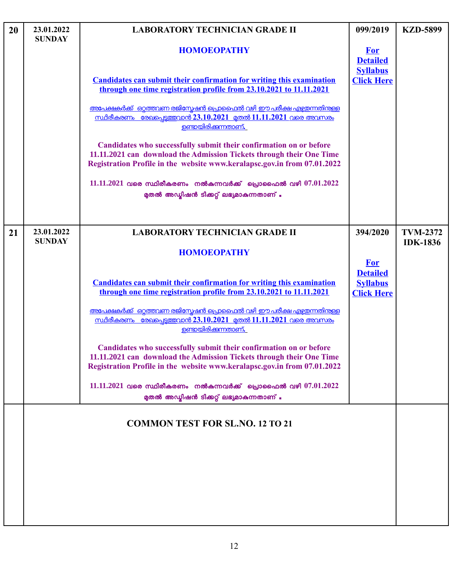| 20 | 23.01.2022<br><b>SUNDAY</b> | <b>LABORATORY TECHNICIAN GRADE II</b>                                                                                                                                                                                  | 099/2019                                                              | <b>KZD-5899</b> |
|----|-----------------------------|------------------------------------------------------------------------------------------------------------------------------------------------------------------------------------------------------------------------|-----------------------------------------------------------------------|-----------------|
|    |                             | <b>HOMOEOPATHY</b>                                                                                                                                                                                                     | <b>For</b><br><b>Detailed</b><br><b>Syllabus</b>                      |                 |
|    |                             | <b>Candidates can submit their confirmation for writing this examination</b><br>through one time registration profile from 23.10.2021 to 11.11.2021                                                                    | <b>Click Here</b>                                                     |                 |
|    |                             | അപേക്ഷകർക്ക് ഒറ്റത്തവണ രജിസ്കേഷൻ പ്രൊഫൈൽ വഴി ഈ പരീക്ഷ എഴ്ചയന്നതിന്തള്ള<br><u>സ്ഥിരീകരണം രേഖപ്പെട്ടത്തവാൻ 23.10.2021 മുതൽ 11.11.2021 വരെ അവസരം</u><br><u>ഉണ്ടായിരിക്കുന്നതാണ്.</u>                                      |                                                                       |                 |
|    |                             | Candidates who successfully submit their confirmation on or before<br>11.11.2021 can download the Admission Tickets through their One Time<br>Registration Profile in the website www.keralapsc.gov.in from 07.01.2022 |                                                                       |                 |
|    |                             | 11.11.2021 വരെ സ്ഥിരീകരണം നൽകുന്നവർക്ക് പ്രൊഫൈൽ വഴി $07.01.2022$<br>മുതൽ അഡ്മിഷൻ ടിക്കറ്റ് ലഭ്യമാകുന്നതാണ് .                                                                                                           |                                                                       |                 |
| 21 | 23.01.2022                  | <b>LABORATORY TECHNICIAN GRADE II</b>                                                                                                                                                                                  | 394/2020                                                              | <b>TVM-2372</b> |
|    | <b>SUNDAY</b>               | <b>HOMOEOPATHY</b>                                                                                                                                                                                                     |                                                                       | <b>IDK-1836</b> |
|    |                             | <b>Candidates can submit their confirmation for writing this examination</b><br>through one time registration profile from 23.10.2021 to 11.11.2021                                                                    | <b>For</b><br><b>Detailed</b><br><b>Syllabus</b><br><b>Click Here</b> |                 |
|    |                             | അപേക്ഷകർക്ക് ഒറ്റത്തവണ രജിസ്റ്റേഷൻ പ്രൊഫൈൽ വഴി ഈ പരീക്ഷ എഴ്ചയന്നതിന്തള്ള<br><u>സ്ഥിരീകരണം രേഖപെടുത്തവാൻ 23.10.2021 മതൽ 11.11.2021 വരെ അവസരം</u><br><u>ഉണ്ടായിരിക്കുന്നതാണ്.</u>                                        |                                                                       |                 |
|    |                             | Candidates who successfully submit their confirmation on or before<br>11.11.2021 can download the Admission Tickets through their One Time<br>Registration Profile in the website www.keralapsc.gov.in from 07.01.2022 |                                                                       |                 |
|    |                             | $11.11.2021$ വരെ സ്ഥിരീകരണം നൽകുന്നവർക്ക് പ്രൊഫൈൽ വഴി $07.01.2022$<br>മുതൽ അഡ്മിഷൻ ടിക്കറ്റ് ലഭ്യമാകുന്നതാണ് .                                                                                                         |                                                                       |                 |
|    |                             | <b>COMMON TEST FOR SL.NO. 12 TO 21</b>                                                                                                                                                                                 |                                                                       |                 |
|    |                             |                                                                                                                                                                                                                        |                                                                       |                 |
|    |                             |                                                                                                                                                                                                                        |                                                                       |                 |
|    |                             |                                                                                                                                                                                                                        |                                                                       |                 |
|    |                             |                                                                                                                                                                                                                        |                                                                       |                 |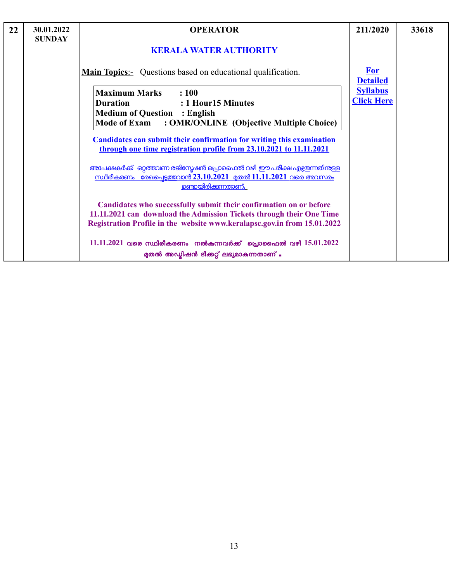| 22 | 30.01.2022<br><b>SUNDAY</b> | <b>OPERATOR</b>                                                                                                                                                                                                        | 211/2020                             | 33618 |
|----|-----------------------------|------------------------------------------------------------------------------------------------------------------------------------------------------------------------------------------------------------------------|--------------------------------------|-------|
|    |                             | <b>KERALA WATER AUTHORITY</b>                                                                                                                                                                                          |                                      |       |
|    |                             | <b>Main Topics:</b> Questions based on educational qualification.                                                                                                                                                      | <b>For</b><br><b>Detailed</b>        |       |
|    |                             | <b>Maximum Marks</b><br>$\therefore 100$<br>: 1 Hour15 Minutes<br><b>Duration</b>                                                                                                                                      | <b>Syllabus</b><br><b>Click Here</b> |       |
|    |                             | <b>Medium of Question : English</b><br>Mode of Exam : OMR/ONLINE (Objective Multiple Choice)                                                                                                                           |                                      |       |
|    |                             | <b>Candidates can submit their confirmation for writing this examination</b><br>through one time registration profile from 23.10.2021 to 11.11.2021                                                                    |                                      |       |
|    |                             | <u>അപേക്ഷകർക്ക് ഒറ്റത്തവണ രജിസ്പേഷൻ പ്രൊഫൈൽ വഴി ഈ പരീക്ഷ എഴ്ചതന്നതിന്</u> കള<br><u>സ്ഥിരീകരണം രേഖപ്പെടുത്തവാൻ 23.10.2021 മുതൽ 11.11.2021 വരെ അവസരം</u><br><u>ഉണ്ടായിരിക്കുന്നതാണ്.</u>                                 |                                      |       |
|    |                             | Candidates who successfully submit their confirmation on or before<br>11.11.2021 can download the Admission Tickets through their One Time<br>Registration Profile in the website www.keralapsc.gov.in from 15.01.2022 |                                      |       |
|    |                             | 11.11.2021 വരെ സ്ഥിരീകരണം നൽകുന്നവർക്ക് പ്രൊഫൈൽ വഴി $15.01.2022$<br>മുതൽ അഡ്മിഷൻ ടിക്കറ്റ് ലഭ്യമാകുന്നതാണ് .                                                                                                           |                                      |       |